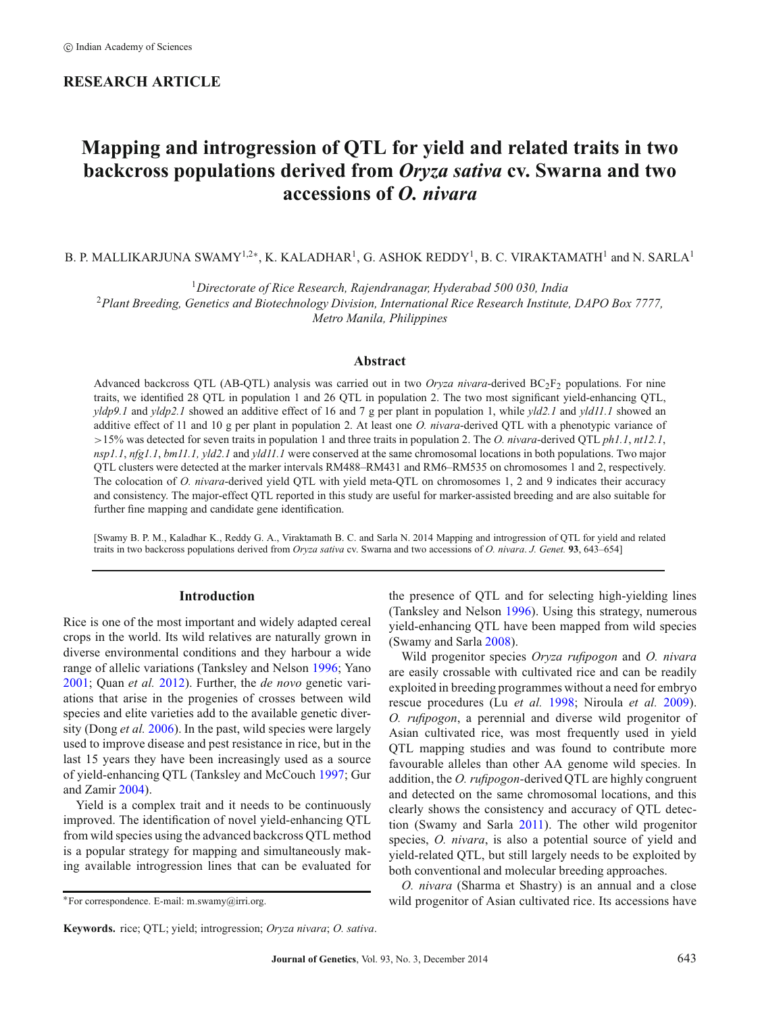# **RESEARCH ARTICLE**

# **Mapping and introgression of QTL for yield and related traits in two backcross populations derived from** *Oryza sativa* **cv. Swarna and two accessions of** *O. nivara*

B. P. MALLIKARJUNA SWAMY<sup>1,2∗</sup>, K. KALADHAR<sup>1</sup>, G. ASHOK REDDY<sup>1</sup>, B. C. VIRAKTAMATH<sup>1</sup> and N. SARLA<sup>1</sup>

<sup>1</sup>*Directorate of Rice Research, Rajendranagar, Hyderabad 500 030, India* <sup>2</sup>*Plant Breeding, Genetics and Biotechnology Division, International Rice Research Institute, DAPO Box 7777, Metro Manila, Philippines*

## **Abstract**

Advanced backcross QTL (AB-QTL) analysis was carried out in two *Oryza nivara*-derived BC2F2 populations. For nine traits, we identified 28 QTL in population 1 and 26 QTL in population 2. The two most significant yield-enhancing QTL, *yldp9.1* and *yldp2.1* showed an additive effect of 16 and 7 g per plant in population 1, while *yld2.1* and *yld11.1* showed an additive effect of 11 and 10 g per plant in population 2. At least one *O. nivara*-derived QTL with a phenotypic variance of *>*15% was detected for seven traits in population 1 and three traits in population 2. The *O. nivara*-derived QTL *ph1.1*, *nt12.1*, *nsp1.1*, *nfg1.1*, *bm11.1, yld2.1* and *yld11.1* were conserved at the same chromosomal locations in both populations. Two major QTL clusters were detected at the marker intervals RM488–RM431 and RM6–RM535 on chromosomes 1 and 2, respectively. The colocation of *O. nivara*-derived yield QTL with yield meta-QTL on chromosomes 1, 2 and 9 indicates their accuracy and consistency. The major-effect QTL reported in this study are useful for marker-assisted breeding and are also suitable for further fine mapping and candidate gene identification.

[Swamy B. P. M., Kaladhar K., Reddy G. A., Viraktamath B. C. and Sarla N. 2014 Mapping and introgression of QTL for yield and related traits in two backcross populations derived from *Oryza sativa* cv. Swarna and two accessions of *O. nivara*. *J. Genet.* **93**, 643–654]

# **Introduction**

Rice is one of the most important and widely adapted cereal crops in the world. Its wild relatives are naturally grown in diverse environmental conditions and they harbour a wide range of allelic variations (Tanksley and Nelson [1996;](#page-10-0) Yano [2001;](#page-11-0) Quan *et al.* [2012\)](#page-10-1). Further, the *de novo* genetic variations that arise in the progenies of crosses between wild species and elite varieties add to the available genetic diversity (Dong *et al.* [2006\)](#page-10-2). In the past, wild species were largely used to improve disease and pest resistance in rice, but in the last 15 years they have been increasingly used as a source of yield-enhancing QTL (Tanksley and McCouch [1997;](#page-10-3) Gur and Zamir [2004\)](#page-10-4).

Yield is a complex trait and it needs to be continuously improved. The identification of novel yield-enhancing QTL from wild species using the advanced backcross QTL method is a popular strategy for mapping and simultaneously making available introgression lines that can be evaluated for the presence of QTL and for selecting high-yielding lines (Tanksley and Nelson [1996\)](#page-10-0). Using this strategy, numerous yield-enhancing QTL have been mapped from wild species (Swamy and Sarla [2008\)](#page-10-5).

Wild progenitor species *Oryza rufipogon* and *O. nivara* are easily crossable with cultivated rice and can be readily exploited in breeding programmes without a need for embryo rescue procedures (Lu *et al.* [1998;](#page-10-6) Niroula *et al.* [2009\)](#page-10-7). *O. rufipogon*, a perennial and diverse wild progenitor of Asian cultivated rice, was most frequently used in yield QTL mapping studies and was found to contribute more favourable alleles than other AA genome wild species. In addition, the *O. rufipogon-*derived QTL are highly congruent and detected on the same chromosomal locations, and this clearly shows the consistency and accuracy of QTL detection (Swamy and Sarla [2011\)](#page-10-8). The other wild progenitor species, *O. nivara*, is also a potential source of yield and yield-related QTL, but still largely needs to be exploited by both conventional and molecular breeding approaches.

*O. nivara* (Sharma et Shastry) is an annual and a close wild progenitor of Asian cultivated rice. Its accessions have

<sup>∗</sup>For correspondence. E-mail: m.swamy@irri.org.

**Keywords.** rice; QTL; yield; introgression; *Oryza nivara*; *O. sativa*.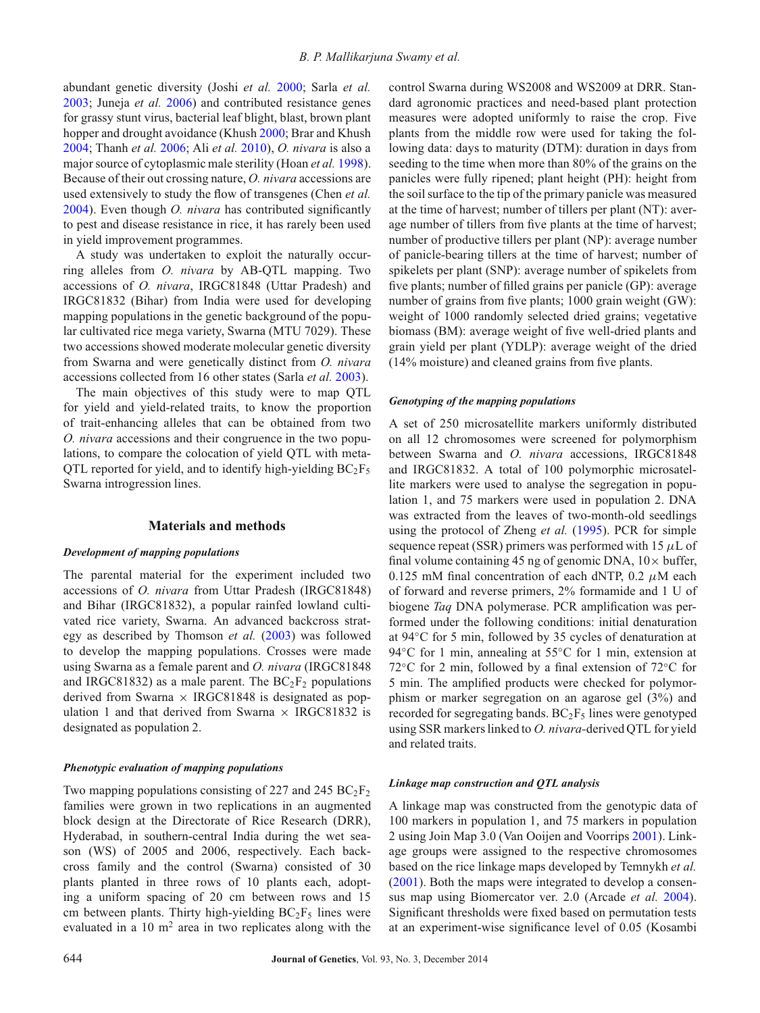abundant genetic diversity (Joshi *et al.* [2000;](#page-10-9) Sarla *et al.* [2003;](#page-10-10) Juneja *et al.* [2006\)](#page-10-11) and contributed resistance genes for grassy stunt virus, bacterial leaf blight, blast, brown plant hopper and drought avoidance (Khush [2000;](#page-10-12) Brar and Khush [2004;](#page-10-13) Thanh *et al.* [2006;](#page-10-14) Ali *et al.* [2010\)](#page-9-0), *O. nivara* is also a major source of cytoplasmic male sterility (Hoan *et al.* [1998\)](#page-10-15). Because of their out crossing nature, *O. nivara* accessions are used extensively to study the flow of transgenes (Chen *et al.* [2004\)](#page-10-16). Even though *O. nivara* has contributed significantly to pest and disease resistance in rice, it has rarely been used in yield improvement programmes.

A study was undertaken to exploit the naturally occurring alleles from *O. nivara* by AB-QTL mapping. Two accessions of *O. nivara*, IRGC81848 (Uttar Pradesh) and IRGC81832 (Bihar) from India were used for developing mapping populations in the genetic background of the popular cultivated rice mega variety, Swarna (MTU 7029). These two accessions showed moderate molecular genetic diversity from Swarna and were genetically distinct from *O. nivara* accessions collected from 16 other states (Sarla *et al.* [2003\)](#page-10-10).

The main objectives of this study were to map QTL for yield and yield-related traits, to know the proportion of trait-enhancing alleles that can be obtained from two *O. nivara* accessions and their congruence in the two populations, to compare the colocation of yield QTL with meta-QTL reported for yield, and to identify high-yielding  $BC_2F_5$ Swarna introgression lines.

## **Materials and methods**

## *Development of mapping populations*

The parental material for the experiment included two accessions of *O. nivara* from Uttar Pradesh (IRGC81848) and Bihar (IRGC81832), a popular rainfed lowland cultivated rice variety, Swarna. An advanced backcross strategy as described by Thomson *et al.* [\(2003\)](#page-10-17) was followed to develop the mapping populations. Crosses were made using Swarna as a female parent and *O. nivara* (IRGC81848 and IRGC81832) as a male parent. The  $BC_2F_2$  populations derived from Swarna  $\times$  IRGC81848 is designated as population 1 and that derived from Swarna  $\times$  IRGC81832 is designated as population 2.

#### *Phenotypic evaluation of mapping populations*

Two mapping populations consisting of 227 and 245  $BC_2F_2$ families were grown in two replications in an augmented block design at the Directorate of Rice Research (DRR), Hyderabad, in southern-central India during the wet season (WS) of 2005 and 2006, respectively. Each backcross family and the control (Swarna) consisted of 30 plants planted in three rows of 10 plants each, adopting a uniform spacing of 20 cm between rows and 15 cm between plants. Thirty high-yielding  $BC_2F_5$  lines were evaluated in a  $10 \text{ m}^2$  area in two replicates along with the control Swarna during WS2008 and WS2009 at DRR. Standard agronomic practices and need-based plant protection measures were adopted uniformly to raise the crop. Five plants from the middle row were used for taking the following data: days to maturity (DTM): duration in days from seeding to the time when more than 80% of the grains on the panicles were fully ripened; plant height (PH): height from the soil surface to the tip of the primary panicle was measured at the time of harvest; number of tillers per plant (NT): average number of tillers from five plants at the time of harvest; number of productive tillers per plant (NP): average number of panicle-bearing tillers at the time of harvest; number of spikelets per plant (SNP): average number of spikelets from five plants; number of filled grains per panicle (GP): average number of grains from five plants; 1000 grain weight (GW): weight of 1000 randomly selected dried grains; vegetative biomass (BM): average weight of five well-dried plants and grain yield per plant (YDLP): average weight of the dried (14% moisture) and cleaned grains from five plants.

### *Genotyping of the mapping populations*

A set of 250 microsatellite markers uniformly distributed on all 12 chromosomes were screened for polymorphism between Swarna and *O. nivara* accessions, IRGC81848 and IRGC81832. A total of 100 polymorphic microsatellite markers were used to analyse the segregation in population 1, and 75 markers were used in population 2. DNA was extracted from the leaves of two-month-old seedlings using the protocol of Zheng *et al.* [\(1995\)](#page-11-1). PCR for simple sequence repeat (SSR) primers was performed with 15  $\mu$ L of final volume containing 45 ng of genomic DNA,  $10 \times$  buffer, 0.125 mM final concentration of each dNTP,  $0.2 \mu M$  each of forward and reverse primers, 2% formamide and 1 U of biogene *Taq* DNA polymerase. PCR amplification was performed under the following conditions: initial denaturation at 94◦C for 5 min, followed by 35 cycles of denaturation at 94℃ for 1 min, annealing at 55℃ for 1 min, extension at 72◦C for 2 min, followed by a final extension of 72◦C for 5 min. The amplified products were checked for polymorphism or marker segregation on an agarose gel (3%) and recorded for segregating bands.  $BC_2F_5$  lines were genotyped using SSR markers linked to *O. nivara-*derived QTL for yield and related traits.

### *Linkage map construction and QTL analysis*

A linkage map was constructed from the genotypic data of 100 markers in population 1, and 75 markers in population 2 using Join Map 3.0 (Van Ooijen and Voorrips [2001\)](#page-10-18). Linkage groups were assigned to the respective chromosomes based on the rice linkage maps developed by Temnykh *et al.* [\(2001\)](#page-10-19). Both the maps were integrated to develop a consensus map using Biomercator ver. 2.0 (Arcade *et al.* [2004\)](#page-10-20). Significant thresholds were fixed based on permutation tests at an experiment-wise significance level of 0.05 (Kosambi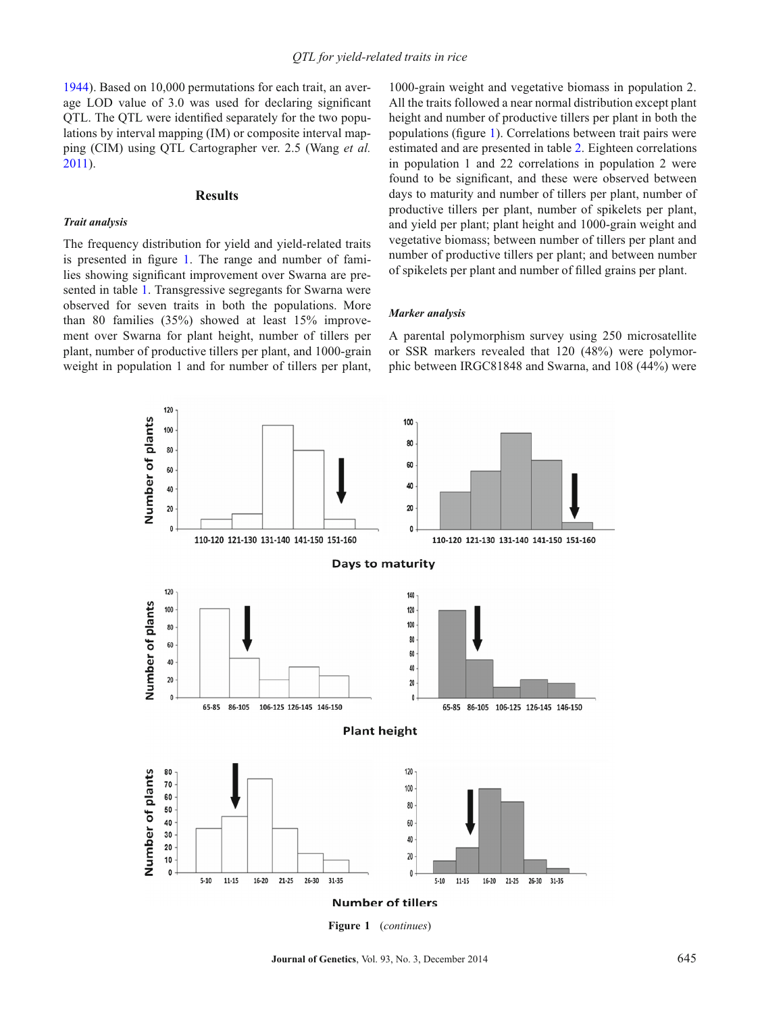[1944\)](#page-10-21). Based on 10,000 permutations for each trait, an average LOD value of 3.0 was used for declaring significant QTL. The QTL were identified separately for the two populations by interval mapping (IM) or composite interval mapping (CIM) using QTL Cartographer ver. 2.5 (Wang *et al.* [2011\)](#page-11-2).

## **Results**

#### *Trait analysis*

The frequency distribution for yield and yield-related traits is presented in figure [1.](#page-2-0) The range and number of families showing significant improvement over Swarna are presented in table [1.](#page-5-0) Transgressive segregants for Swarna were observed for seven traits in both the populations. More than 80 families (35%) showed at least 15% improvement over Swarna for plant height, number of tillers per plant, number of productive tillers per plant, and 1000-grain weight in population 1 and for number of tillers per plant,

1000-grain weight and vegetative biomass in population 2. All the traits followed a near normal distribution except plant height and number of productive tillers per plant in both the populations (figure [1\)](#page-2-0). Correlations between trait pairs were estimated and are presented in table [2.](#page-5-1) Eighteen correlations in population 1 and 22 correlations in population 2 were found to be significant, and these were observed between days to maturity and number of tillers per plant, number of productive tillers per plant, number of spikelets per plant, and yield per plant; plant height and 1000-grain weight and vegetative biomass; between number of tillers per plant and number of productive tillers per plant; and between number of spikelets per plant and number of filled grains per plant.

## *Marker analysis*

A parental polymorphism survey using 250 microsatellite or SSR markers revealed that 120 (48%) were polymorphic between IRGC81848 and Swarna, and 108 (44%) were

<span id="page-2-0"></span>

**Figure 1** (*continues*)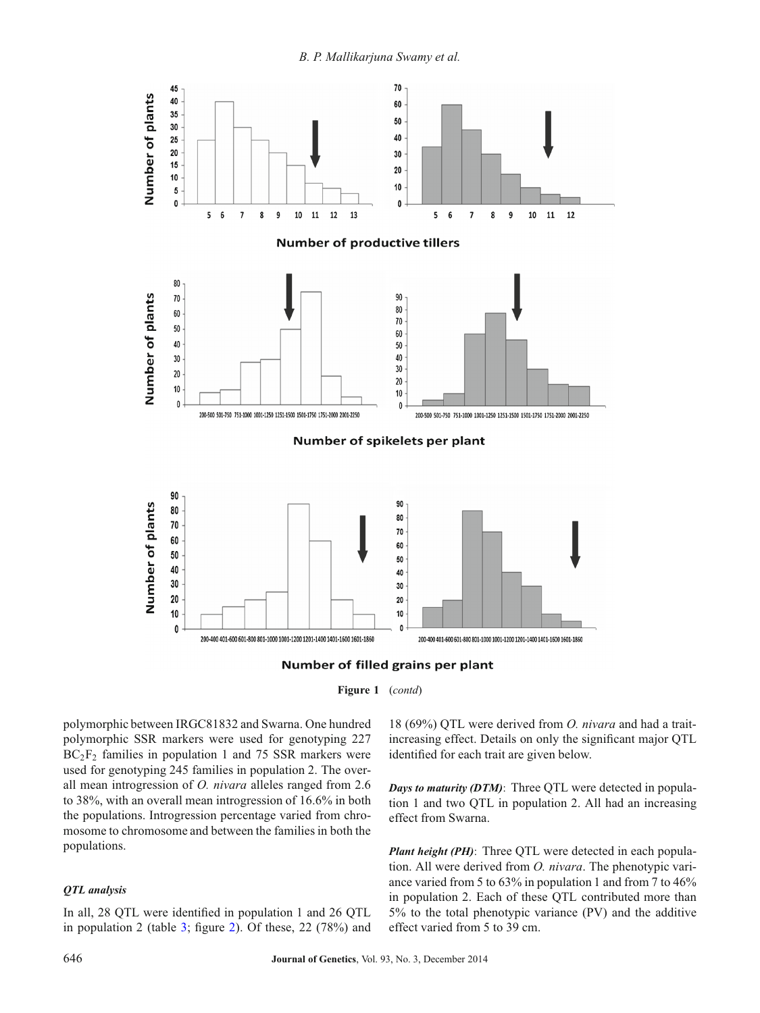*B. P. Mallikarjuna Swamy et al.*

<span id="page-3-0"></span>





polymorphic between IRGC81832 and Swarna. One hundred polymorphic SSR markers were used for genotyping 227  $BC_2F_2$  families in population 1 and 75 SSR markers were used for genotyping 245 families in population 2. The overall mean introgression of *O. nivara* alleles ranged from 2.6 to 38%, with an overall mean introgression of 16.6% in both the populations. Introgression percentage varied from chromosome to chromosome and between the families in both the populations.

# *QTL analysis*

In all, 28 QTL were identified in population 1 and 26 QTL in population 2 (table [3;](#page-6-0) figure [2\)](#page-3-0). Of these, 22 (78%) and

18 (69%) QTL were derived from *O. nivara* and had a traitincreasing effect. Details on only the significant major QTL identified for each trait are given below.

*Days to maturity (DTM)*: Three QTL were detected in population 1 and two QTL in population 2. All had an increasing effect from Swarna.

*Plant height (PH)*: Three OTL were detected in each population. All were derived from *O. nivara*. The phenotypic variance varied from 5 to 63% in population 1 and from 7 to 46% in population 2. Each of these QTL contributed more than 5% to the total phenotypic variance (PV) and the additive effect varied from 5 to 39 cm.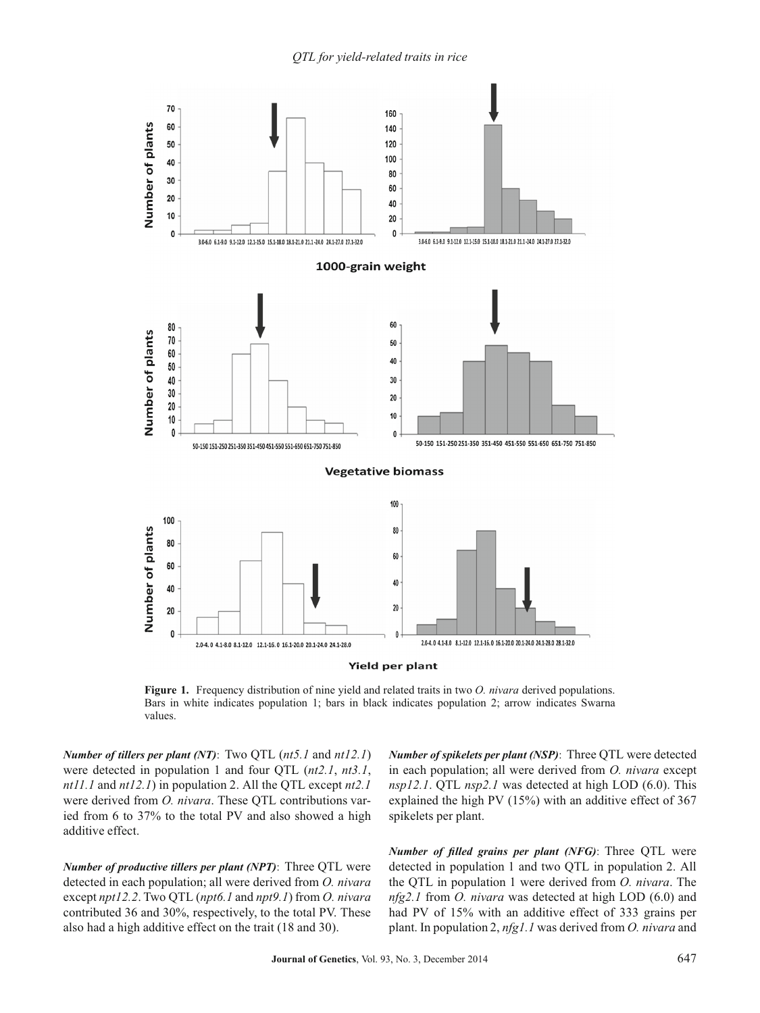*QTL for yield-related traits in rice*



**Figure 1.** Frequency distribution of nine yield and related traits in two *O. nivara* derived populations. Bars in white indicates population 1; bars in black indicates population 2; arrow indicates Swarna values.

*Number of tillers per plant (NT)*: Two QTL (*nt5.1* and *nt12.1*) were detected in population 1 and four QTL (*nt2.1*, *nt3.1*, *nt11.1* and *nt12.1*) in population 2. All the QTL except *nt2.1* were derived from *O. nivara*. These QTL contributions varied from 6 to 37% to the total PV and also showed a high additive effect.

*Number of productive tillers per plant (NPT)*: Three QTL were detected in each population; all were derived from *O. nivara* except *npt12.2*. Two QTL (*npt6.1* and *npt9.1*) from *O. nivara* contributed 36 and 30%, respectively, to the total PV. These also had a high additive effect on the trait (18 and 30).

*Number of spikelets per plant (NSP)*: Three QTL were detected in each population; all were derived from *O. nivara* except *nsp12.1*. OTL *nsp2.1* was detected at high LOD (6.0). This explained the high PV (15%) with an additive effect of 367 spikelets per plant.

*Number of filled grains per plant (NFG)*: Three QTL were detected in population 1 and two QTL in population 2. All the QTL in population 1 were derived from *O. nivara*. The *nfg2.1* from *O. nivara* was detected at high LOD (6.0) and had PV of 15% with an additive effect of 333 grains per plant. In population 2, *nfg1.1* was derived from *O. nivara* and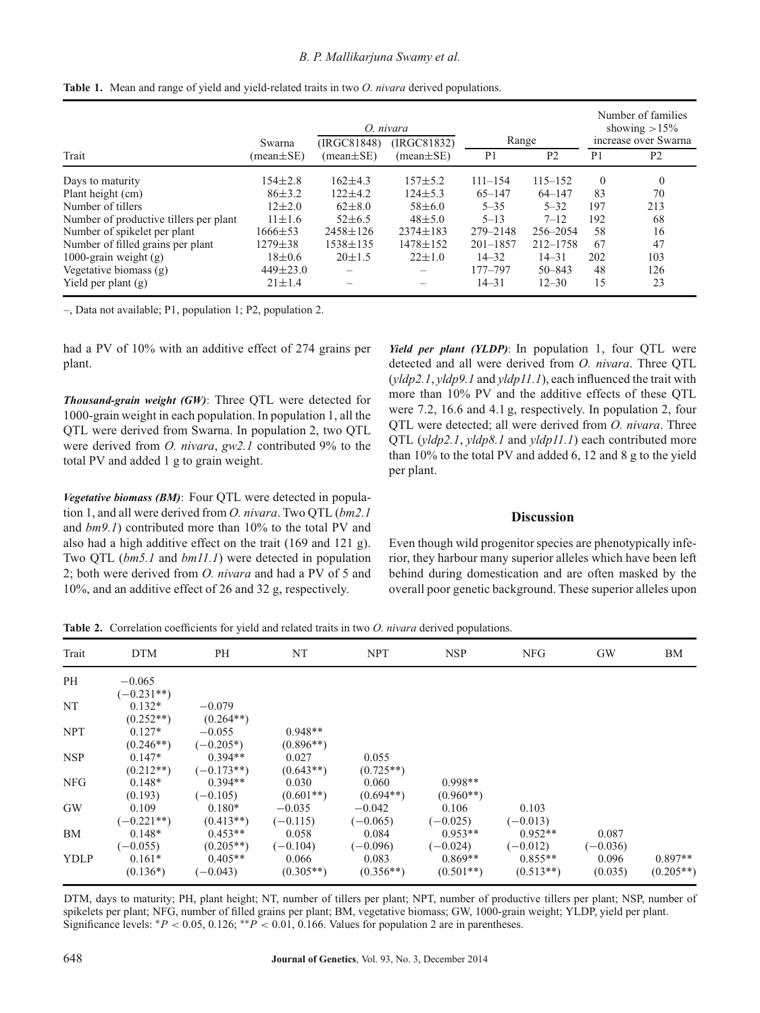# *B. P. Mallikarjuna Swamy et al.*

|                                        |                           |                                | O. nivara                      |                         |                | Number of families<br>showing $>15\%$ |                                        |
|----------------------------------------|---------------------------|--------------------------------|--------------------------------|-------------------------|----------------|---------------------------------------|----------------------------------------|
| Trait                                  | Swarna<br>$(mean \pm SE)$ | (IRGC81848)<br>$(mean \pm SE)$ | (IRGC81832)<br>$(mean \pm SE)$ | Range<br>P <sub>1</sub> | P <sub>2</sub> | P <sub>1</sub>                        | increase over Swarna<br>P <sub>2</sub> |
|                                        |                           |                                |                                |                         |                |                                       |                                        |
| Days to maturity                       | $154 \pm 2.8$             | $162+4.3$                      | $157 + 5.2$                    | $111 - 154$             | $115 - 152$    | $\Omega$                              | $\theta$                               |
| Plant height (cm)                      | $86\pm3.2$                | $122 \pm 4.2$                  | $124 \pm 5.3$                  | $65 - 147$              | $64 - 147$     | 83                                    | 70                                     |
| Number of tillers                      | $12\pm2.0$                | $62\pm8.0$                     | $58\pm 6.0$                    | $5 - 35$                | $5 - 32$       | 197                                   | 213                                    |
| Number of productive tillers per plant | $11 \pm 1.6$              | $52\pm 6.5$                    | $48 + 5.0$                     | $5 - 13$                | $7 - 12$       | 192                                   | 68                                     |
| Number of spikelet per plant           | 1666±53                   | $2458 \pm 126$                 | $2374 \pm 183$                 | 279-2148                | $256 - 2054$   | 58                                    | 16                                     |
| Number of filled grains per plant      | 1279±38                   | 1538±135                       | $1478 \pm 152$                 | $201 - 1857$            | 212-1758       | 67                                    | 47                                     |
| 1000-grain weight $(g)$                | $18 \pm 0.6$              | $20 \pm 1.5$                   | $22 \pm 1.0$                   | $14 - 32$               | $14 - 31$      | 202                                   | 103                                    |
| Vegetative biomass $(g)$               | $449 \pm 23.0$            |                                |                                | 177-797                 | $50 - 843$     | 48                                    | 126                                    |
| Yield per plant $(g)$                  | $21 \pm 1.4$              |                                |                                | $14 - 31$               | $12 - 30$      | 15                                    | 23                                     |

<span id="page-5-0"></span>

–, Data not available; P1, population 1; P2, population 2.

had a PV of 10% with an additive effect of 274 grains per plant.

*Thousand-grain weight (GW)*: Three QTL were detected for 1000-grain weight in each population. In population 1, all the QTL were derived from Swarna. In population 2, two QTL were derived from *O. nivara*, *gw2.1* contributed 9% to the total PV and added 1 g to grain weight.

*Vegetative biomass (BM)*: Four QTL were detected in population 1, and all were derived from *O. nivara*. Two QTL (*bm2.1* and *bm9.1*) contributed more than 10% to the total PV and also had a high additive effect on the trait (169 and 121 g). Two QTL (*bm5.1* and *bm11.1*) were detected in population 2; both were derived from *O. nivara* and had a PV of 5 and 10%, and an additive effect of 26 and 32 g, respectively.

*Yield per plant (YLDP)*: In population 1, four QTL were detected and all were derived from *O. nivara*. Three QTL (*yldp2.1*, *yldp9.1* and *yldp11.1*), each influenced the trait with more than 10% PV and the additive effects of these QTL were 7.2, 16.6 and 4.1 g, respectively. In population 2, four QTL were detected; all were derived from *O. nivara*. Three QTL (*yldp2.1*, *yldp8.1* and *yldp11.1*) each contributed more than 10% to the total PV and added 6, 12 and 8 g to the yield per plant.

# **Discussion**

Even though wild progenitor species are phenotypically inferior, they harbour many superior alleles which have been left behind during domestication and are often masked by the overall poor genetic background. These superior alleles upon

<span id="page-5-1"></span>**Table 2.** Correlation coefficients for yield and related traits in two *O. nivara* derived populations.

| Trait       | <b>DTM</b>   | <b>PH</b>    | NT          | <b>NPT</b>  | <b>NSP</b>  | <b>NFG</b>  | <b>GW</b>  | BM          |
|-------------|--------------|--------------|-------------|-------------|-------------|-------------|------------|-------------|
| PH          | $-0.065$     |              |             |             |             |             |            |             |
|             | $(-0.231**)$ |              |             |             |             |             |            |             |
| NT          | $0.132*$     | $-0.079$     |             |             |             |             |            |             |
|             | $(0.252**)$  | $(0.264**)$  |             |             |             |             |            |             |
| <b>NPT</b>  | $0.127*$     | $-0.055$     | $0.948**$   |             |             |             |            |             |
|             | $(0.246**)$  | $(-0.205^*)$ | $(0.896**)$ |             |             |             |            |             |
| <b>NSP</b>  | $0.147*$     | $0.394**$    | 0.027       | 0.055       |             |             |            |             |
|             | $(0.212**)$  | $(-0.173**)$ | $(0.643**)$ | $(0.725**)$ |             |             |            |             |
| <b>NFG</b>  | $0.148*$     | $0.394**$    | 0.030       | 0.060       | $0.998**$   |             |            |             |
|             | (0.193)      | $(-0.105)$   | $(0.601**)$ | $(0.694**)$ | $(0.960**)$ |             |            |             |
| <b>GW</b>   | 0.109        | $0.180*$     | $-0.035$    | $-0.042$    | 0.106       | 0.103       |            |             |
|             | $(-0.221**)$ | $(0.413**)$  | $(-0.115)$  | $(-0.065)$  | $(-0.025)$  | $(-0.013)$  |            |             |
| <b>BM</b>   | $0.148*$     | $0.453**$    | 0.058       | 0.084       | $0.953**$   | $0.952**$   | 0.087      |             |
|             | $(-0.055)$   | $(0.205**)$  | $(-0.104)$  | $(-0.096)$  | $(-0.024)$  | $(-0.012)$  | $(-0.036)$ |             |
| <b>YDLP</b> | $0.161*$     | $0.405**$    | 0.066       | 0.083       | $0.869**$   | $0.855**$   | 0.096      | $0.897**$   |
|             | $(0.136*)$   | $(-0.043)$   | $(0.305**)$ | $(0.356**)$ | $(0.501**)$ | $(0.513**)$ | (0.035)    | $(0.205**)$ |

DTM, days to maturity; PH, plant height; NT, number of tillers per plant; NPT, number of productive tillers per plant; NSP, number of spikelets per plant; NFG, number of filled grains per plant; BM, vegetative biomass; GW, 1000-grain weight; YLDP, yield per plant. Significance levels:  $*P < 0.05, 0.126$ ;  $*P < 0.01, 0.166$ . Values for population 2 are in parentheses.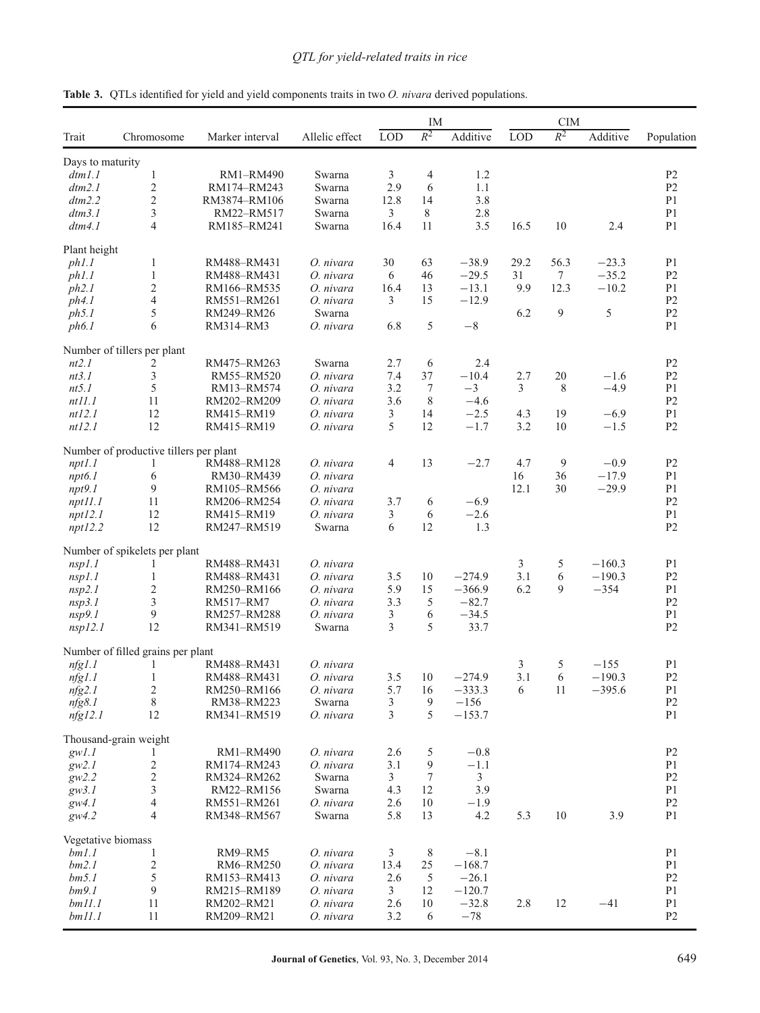|                    |                                        |                            |                     | IM             |                |                 | <b>CIM</b> |        |          |                                  |  |
|--------------------|----------------------------------------|----------------------------|---------------------|----------------|----------------|-----------------|------------|--------|----------|----------------------------------|--|
| Trait              | Chromosome                             | Marker interval            | Allelic effect      | <b>LOD</b>     | $R^2$          | Additive        | <b>LOD</b> | $R^2$  | Additive | Population                       |  |
| Days to maturity   |                                        |                            |                     |                |                |                 |            |        |          |                                  |  |
| dtml.1             | $\mathbf{1}$                           | <b>RM1-RM490</b>           | Swarna              | 3              | $\overline{4}$ | 1.2             |            |        |          | P <sub>2</sub>                   |  |
| dtm2.1             | $\overline{2}$                         | RM174-RM243                | Swarna              | 2.9            | 6              | 1.1             |            |        |          | P <sub>2</sub>                   |  |
| dm2.2              | 2                                      | RM3874-RM106               | Swarna              | 12.8           | 14             | 3.8             |            |        |          | P <sub>1</sub>                   |  |
| dtm3.1             | 3                                      | RM22-RM517                 | Swarna              | $\mathfrak{Z}$ | 8              | 2.8             |            |        |          | P <sub>1</sub>                   |  |
| dtm4.1             | 4                                      | RM185-RM241                | Swarna              | 16.4           | 11             | 3.5             | 16.5       | 10     | 2.4      | P <sub>1</sub>                   |  |
| Plant height       |                                        |                            |                     |                |                |                 |            |        |          |                                  |  |
| ph1.1              | $\mathbf{1}$                           | RM488-RM431                | O. nivara           | 30             | 63             | $-38.9$         | 29.2       | 56.3   | $-23.3$  | P <sub>1</sub>                   |  |
| ph1.1              | $\mathbf{1}$                           | RM488-RM431                | O. nivara           | 6              | 46             | $-29.5$         | 31         | $\tau$ | $-35.2$  | P <sub>2</sub>                   |  |
| ph2.1              | $\overline{\mathbf{c}}$                | RM166-RM535                | O. nivara           | 16.4           | 13             | $-13.1$         | 9.9        | 12.3   | $-10.2$  | P <sub>1</sub>                   |  |
| ph4.1              | 4                                      | RM551-RM261                | O. nivara           | 3              | 15             | $-12.9$         |            |        |          | P <sub>2</sub>                   |  |
| ph5.1              | 5                                      | RM249-RM26                 | Swarna              |                |                |                 | 6.2        | 9      | 5        | P <sub>2</sub>                   |  |
| ph6.1              | 6                                      | RM314-RM3                  | O. nivara           | 6.8            | 5              | $-8$            |            |        |          | P <sub>1</sub>                   |  |
|                    | Number of tillers per plant            |                            |                     |                |                |                 |            |        |          |                                  |  |
| nt2.1              | 2                                      | RM475-RM263                | Swarna              | 2.7            | 6              | 2.4             |            |        |          | P <sub>2</sub>                   |  |
| nt3.1              | 3                                      | RM55-RM520                 | O. nivara           | 7.4            | 37             | $-10.4$         | 2.7        | 20     | $-1.6$   | P <sub>2</sub>                   |  |
| nt5.1              | 5                                      | RM13-RM574                 | O. nivara           | 3.2            | 7              | $-3$            | 3          | 8      | $-4.9$   | P <sub>1</sub>                   |  |
| nt11.1             | 11                                     | RM202-RM209                | O. nivara           | 3.6            | 8              | $-4.6$          |            |        |          | P <sub>2</sub>                   |  |
| nt12.1             | 12                                     | RM415-RM19                 | O. nivara           | 3              | 14             | $-2.5$          | 4.3        | 19     | $-6.9$   | P <sub>1</sub>                   |  |
| ntl2.1             | 12                                     | RM415-RM19                 | O. nivara           | 5              | 12             | $-1.7$          | 3.2        | 10     | $-1.5$   | P <sub>2</sub>                   |  |
|                    | Number of productive tillers per plant |                            |                     |                |                |                 |            |        |          |                                  |  |
| npt1.1             | 1                                      | RM488-RM128                | O. nivara           | 4              | 13             | $-2.7$          | 4.7        | 9      | $-0.9$   | P <sub>2</sub>                   |  |
| npt6.1             | 6                                      | RM30-RM439                 | O. nivara           |                |                |                 | 16         | 36     | $-17.9$  | P <sub>1</sub>                   |  |
| npt9.1             | 9                                      | RM105-RM566                | O. nivara           |                |                |                 | 12.1       | 30     | $-29.9$  | P <sub>1</sub>                   |  |
| npt11.1            | 11                                     | RM206-RM254                | O. nivara           | 3.7            | 6              | $-6.9$          |            |        |          | P <sub>2</sub>                   |  |
| npt12.1<br>npt12.2 | 12<br>12                               | RM415-RM19<br>RM247-RM519  | O. nivara<br>Swarna | 3<br>6         | 6<br>12        | $-2.6$<br>1.3   |            |        |          | P <sub>1</sub><br>P <sub>2</sub> |  |
|                    | Number of spikelets per plant          |                            |                     |                |                |                 |            |        |          |                                  |  |
|                    |                                        | RM488-RM431                | O. nivara           |                |                |                 | 3          | 5      | $-160.3$ | P <sub>1</sub>                   |  |
| nsp1.1             | 1                                      |                            |                     |                |                |                 |            |        |          |                                  |  |
| nsp1.1             | 1                                      | RM488-RM431                | O. nivara           | 3.5            | 10             | $-274.9$        | 3.1        | 6      | $-190.3$ | P <sub>2</sub>                   |  |
| nsp2.1             | 2                                      | RM250-RM166                | O. nivara           | 5.9            | 15             | $-366.9$        | 6.2        | 9      | $-354$   | P <sub>1</sub>                   |  |
| nsp3.1             | 3                                      | RM517-RM7                  | O. nivara           | 3.3            | 5              | $-82.7$         |            |        |          | P <sub>2</sub>                   |  |
| nsp9.1             | 9<br>12                                | RM257-RM288<br>RM341-RM519 | O. nivara<br>Swarna | 3<br>3         | 6<br>5         | $-34.5$<br>33.7 |            |        |          | P <sub>1</sub><br>P <sub>2</sub> |  |
| nsp12.1            |                                        |                            |                     |                |                |                 |            |        |          |                                  |  |
|                    | Number of filled grains per plant      |                            |                     |                |                |                 |            |        |          |                                  |  |
| nfg1.1             | 1                                      | RM488-RM431                | O. nivara           |                |                |                 | 3          | 5      | $-155$   | P <sub>1</sub>                   |  |
| nfg1.1             | 1                                      | RM488-RM431                | O. nivara           | 3.5            | 10             | $-274.9$        | 3.1        | 6      | $-190.3$ | P <sub>2</sub>                   |  |
| nfg2.1             | $\overline{\mathbf{c}}$                | RM250-RM166                | O. nivara           | 5.7            | 16             | $-333.3$        | 6          | 11     | $-395.6$ | P <sub>1</sub>                   |  |
| nfg8.1             | 8                                      | RM38-RM223                 | Swarna              | 3              | 9              | $-156$          |            |        |          | P <sub>2</sub>                   |  |
| nfg12.1            | 12                                     | RM341-RM519                | O. nivara           | 3              | 5              | $-153.7$        |            |        |          | P <sub>1</sub>                   |  |
|                    | Thousand-grain weight                  |                            |                     |                |                |                 |            |        |          |                                  |  |
| gwl.1              |                                        | RM1-RM490                  | O. nivara           | 2.6            | 5              | $-0.8$          |            |        |          | P2                               |  |
| gw2.1              | $\overline{\mathbf{c}}$                | RM174-RM243                | O. nivara           | 3.1            | 9              | $-1.1$          |            |        |          | P <sub>1</sub>                   |  |
| gw2.2              | $\overline{c}$                         | RM324-RM262                | Swarna              | 3              | 7              | $\mathfrak{Z}$  |            |        |          | P <sub>2</sub>                   |  |
| gw3.1              | 3                                      | RM22-RM156                 | Swarna              | 4.3            | 12             | 3.9             |            |        |          | P <sub>1</sub>                   |  |
| $g_{W}4.1$         | 4                                      | RM551-RM261                | O. nivara           | 2.6            | 10             | $-1.9$          |            |        |          | P <sub>2</sub>                   |  |
| $g_{W}4.2$         | 4                                      | RM348-RM567                | Swarna              | 5.8            | 13             | 4.2             | 5.3        | 10     | 3.9      | P <sub>1</sub>                   |  |
|                    | Vegetative biomass                     |                            |                     |                |                |                 |            |        |          |                                  |  |
| bm1.1              | 1                                      | RM9-RM5                    | O. nivara           | 3              | 8              | $-8.1$          |            |        |          | P <sub>1</sub>                   |  |
| bm2.1              | $\boldsymbol{2}$                       | RM6-RM250                  | O. nivara           | 13.4           | 25             | $-168.7$        |            |        |          | P <sub>1</sub>                   |  |
| bm 5.1             | 5                                      | RM153-RM413                | O. nivara           | 2.6            | 5              | $-26.1$         |            |        |          | P <sub>2</sub>                   |  |
| bm9.1              | 9                                      | RM215-RM189                | O. nivara           | 3              | 12             | $-120.7$        |            |        |          | P <sub>1</sub>                   |  |
| bm11.1             | 11                                     | RM202-RM21                 | O. nivara           | 2.6            | 10             | $-32.8$         | 2.8        | 12     | $-41$    | P <sub>1</sub>                   |  |
| bm11.1             | 11                                     | RM209-RM21                 | O. nivara           | 3.2            | 6              | $-78$           |            |        |          | P <sub>2</sub>                   |  |

<span id="page-6-0"></span>**Table 3.** QTLs identified for yield and yield components traits in two *O. nivara* derived populations.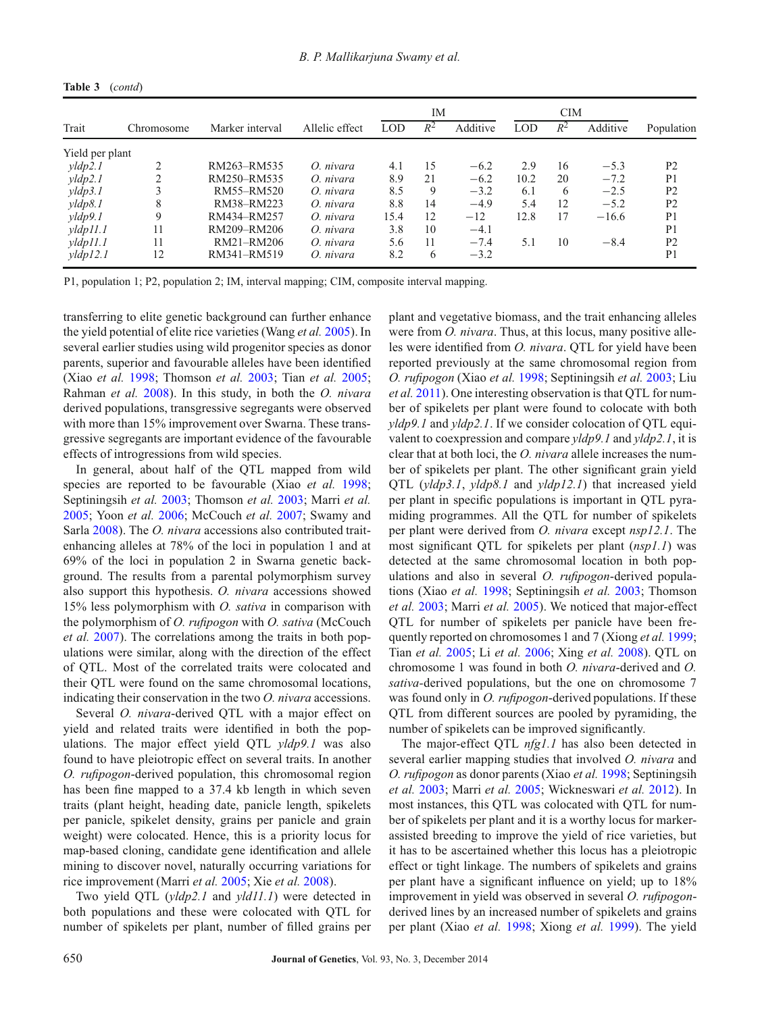|                     |            |                 |                | IM<br><b>CIM</b> |       |          |      |       |          |                |
|---------------------|------------|-----------------|----------------|------------------|-------|----------|------|-------|----------|----------------|
| Trait               | Chromosome | Marker interval | Allelic effect | LOD              | $R^2$ | Additive | LOD  | $R^2$ | Additive | Population     |
| Yield per plant     |            |                 |                |                  |       |          |      |       |          |                |
| $y$ ldp $2.1$       | ↑          | RM263-RM535     | O. nivara      | 4.1              | 15    | $-6.2$   | 2.9  | 16    | $-5.3$   | P <sub>2</sub> |
| $y$ ldp $2.1$       | ∍          | RM250-RM535     | O. nivara      | 8.9              | 21    | $-6.2$   | 10.2 | 20    | $-7.2$   | P <sub>1</sub> |
| vldp3.1             |            | RM55-RM520      | O. nivara      | 8.5              | 9     | $-3.2$   | 6.1  | 6     | $-2.5$   | P <sub>2</sub> |
| $y$ ldp $8.1$       | 8          | RM38-RM223      | O. nivara      | 8.8              | 14    | $-4.9$   | 5.4  | 12    | $-5.2$   | P <sub>2</sub> |
| $y$ ldp $9.1$       | 9          | RM434-RM257     | O. nivara      | 15.4             | 12    | $-12$    | 12.8 | 17    | $-16.6$  | P <sub>1</sub> |
| vldp11.1            | 11         | RM209-RM206     | O. nivara      | 3.8              | 10    | $-4.1$   |      |       |          | P <sub>1</sub> |
| $y$ ldp $11.1$      | 11         | RM21-RM206      | O. nivara      | 5.6              | 11    | $-7.4$   | 5.1  | 10    | $-8.4$   | P <sub>2</sub> |
| $\frac{vldp}{l2}$ . | 12         | RM341-RM519     | O. nivara      | 8.2              | 6     | $-3.2$   |      |       |          | P <sub>1</sub> |

**Table 3** (*contd*)

P1, population 1; P2, population 2; IM, interval mapping; CIM, composite interval mapping.

transferring to elite genetic background can further enhance the yield potential of elite rice varieties (Wang *et al.* [2005\)](#page-10-22). In several earlier studies using wild progenitor species as donor parents, superior and favourable alleles have been identified (Xiao *et al.* [1998;](#page-11-3) Thomson *et al.* [2003;](#page-10-17) Tian *et al.* [2005;](#page-10-23) Rahman *et al.* [2008\)](#page-10-24). In this study, in both the *O. nivara* derived populations, transgressive segregants were observed with more than 15% improvement over Swarna. These transgressive segregants are important evidence of the favourable effects of introgressions from wild species.

In general, about half of the QTL mapped from wild species are reported to be favourable (Xiao *et al.* [1998;](#page-11-3) Septiningsih *et al.* [2003;](#page-10-25) Thomson *et al.* [2003;](#page-10-17) Marri *et al.* [2005;](#page-10-26) Yoon *et al.* [2006;](#page-11-4) McCouch *et al.* [2007;](#page-10-27) Swamy and Sarla [2008\)](#page-10-5). The *O. nivara* accessions also contributed traitenhancing alleles at 78% of the loci in population 1 and at 69% of the loci in population 2 in Swarna genetic background. The results from a parental polymorphism survey also support this hypothesis. *O. nivara* accessions showed 15% less polymorphism with *O. sativa* in comparison with the polymorphism of *O. rufipogon* with *O. sativa* (McCouch *et al.* [2007\)](#page-10-27). The correlations among the traits in both populations were similar, along with the direction of the effect of QTL. Most of the correlated traits were colocated and their QTL were found on the same chromosomal locations, indicating their conservation in the two *O. nivara* accessions.

Several *O. nivara*-derived QTL with a major effect on yield and related traits were identified in both the populations. The major effect yield QTL *yldp9.1* was also found to have pleiotropic effect on several traits. In another *O. rufipogon*-derived population, this chromosomal region has been fine mapped to a 37.4 kb length in which seven traits (plant height, heading date, panicle length, spikelets per panicle, spikelet density, grains per panicle and grain weight) were colocated. Hence, this is a priority locus for map-based cloning, candidate gene identification and allele mining to discover novel, naturally occurring variations for rice improvement (Marri *et al.* [2005;](#page-10-26) Xie *et al.* [2008\)](#page-11-5).

Two yield QTL (*yldp2.1* and *yld11.1*) were detected in both populations and these were colocated with QTL for number of spikelets per plant, number of filled grains per

plant and vegetative biomass, and the trait enhancing alleles were from *O. nivara*. Thus, at this locus, many positive alleles were identified from *O. nivara*. QTL for yield have been reported previously at the same chromosomal region from *O. rufipogon* (Xiao *et al.* [1998;](#page-11-3) Septiningsih *et al.* [2003;](#page-10-25) Liu *et al.* [2011\)](#page-10-28). One interesting observation is that QTL for number of spikelets per plant were found to colocate with both *yldp9.1* and *yldp2.1*. If we consider colocation of QTL equivalent to coexpression and compare *yldp9.1* and *yldp2.1*, it is clear that at both loci, the *O. nivara* allele increases the number of spikelets per plant. The other significant grain yield QTL (*yldp3.1*, *yldp8.1* and *yldp12.1*) that increased yield per plant in specific populations is important in QTL pyramiding programmes. All the QTL for number of spikelets per plant were derived from *O. nivara* except *nsp12.1*. The most significant QTL for spikelets per plant (*nsp1.1*) was detected at the same chromosomal location in both populations and also in several *O. rufipogon*-derived populations (Xiao *et al.* [1998;](#page-11-3) Septiningsih *et al.* [2003;](#page-10-25) Thomson *et al.* [2003;](#page-10-17) Marri *et al.* [2005\)](#page-10-26). We noticed that major-effect QTL for number of spikelets per panicle have been frequently reported on chromosomes 1 and 7 (Xiong *et al.* [1999;](#page-11-6) Tian *et al.* [2005;](#page-10-23) Li *et al.* [2006;](#page-10-29) Xing *et al.* [2008\)](#page-11-7). QTL on chromosome 1 was found in both *O. nivara*-derived and *O. sativa-*derived populations, but the one on chromosome 7 was found only in *O. rufipogon*-derived populations. If these QTL from different sources are pooled by pyramiding, the number of spikelets can be improved significantly.

The major-effect QTL *nfg1.1* has also been detected in several earlier mapping studies that involved *O. nivara* and *O. rufipogon* as donor parents (Xiao *et al.* [1998;](#page-11-3) Septiningsih *et al.* [2003;](#page-10-25) Marri *et al.* [2005;](#page-10-26) Wickneswari *et al.* [2012\)](#page-11-8). In most instances, this QTL was colocated with QTL for number of spikelets per plant and it is a worthy locus for markerassisted breeding to improve the yield of rice varieties, but it has to be ascertained whether this locus has a pleiotropic effect or tight linkage. The numbers of spikelets and grains per plant have a significant influence on yield; up to 18% improvement in yield was observed in several *O. rufipogon*derived lines by an increased number of spikelets and grains per plant (Xiao *et al.* [1998;](#page-11-3) Xiong *et al.* [1999\)](#page-11-6). The yield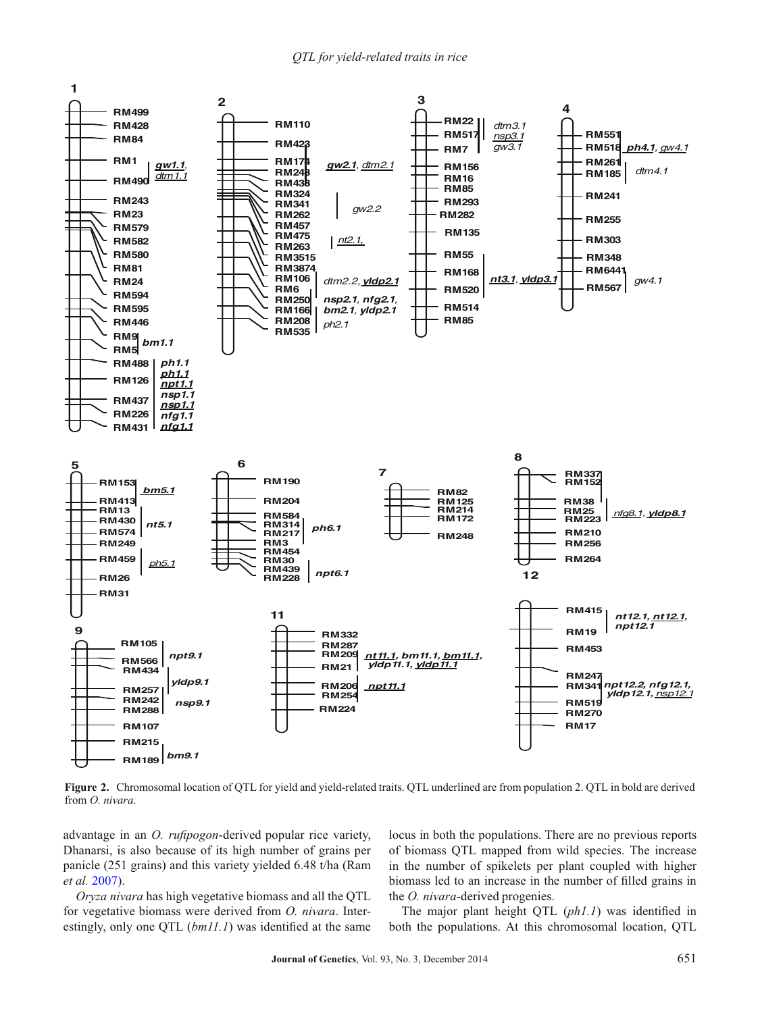

**Figure 2.** Chromosomal location of QTL for yield and yield-related traits. QTL underlined are from population 2. QTL in bold are derived from *O. nivara*.

advantage in an *O. rufipogon*-derived popular rice variety, Dhanarsi, is also because of its high number of grains per panicle (251 grains) and this variety yielded 6.48 t/ha (Ram *et al.* [2007\)](#page-10-30).

*Oryza nivara* has high vegetative biomass and all the QTL for vegetative biomass were derived from *O. nivara*. Interestingly, only one QTL (*bm11.1*) was identified at the same locus in both the populations. There are no previous reports of biomass QTL mapped from wild species. The increase in the number of spikelets per plant coupled with higher biomass led to an increase in the number of filled grains in the *O. nivara*-derived progenies.

The major plant height QTL (*ph1.1*) was identified in both the populations. At this chromosomal location, QTL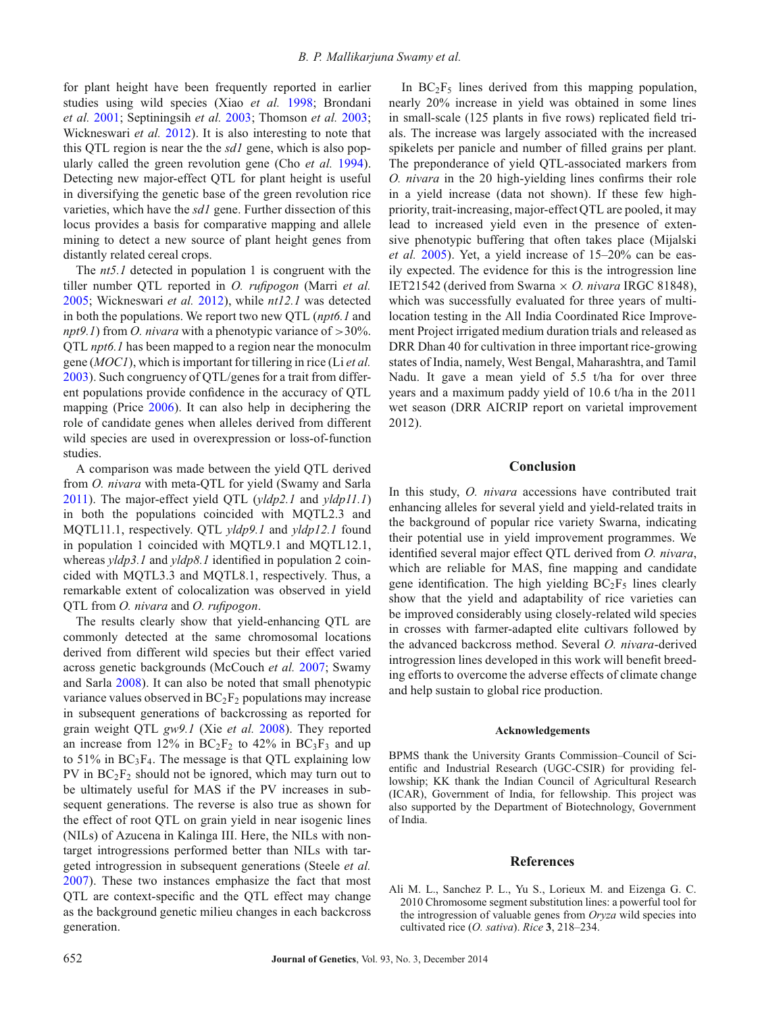for plant height have been frequently reported in earlier studies using wild species (Xiao *et al.* [1998;](#page-11-3) Brondani *et al.* [2001;](#page-10-31) Septiningsih *et al.* [2003;](#page-10-25) Thomson *et al.* [2003;](#page-10-17) Wickneswari *et al.* [2012\)](#page-11-8). It is also interesting to note that this QTL region is near the the *sd1* gene, which is also popularly called the green revolution gene (Cho *et al.* [1994\)](#page-10-32). Detecting new major-effect QTL for plant height is useful in diversifying the genetic base of the green revolution rice varieties, which have the *sd1* gene. Further dissection of this locus provides a basis for comparative mapping and allele mining to detect a new source of plant height genes from distantly related cereal crops.

The *nt5.1* detected in population 1 is congruent with the tiller number QTL reported in *O. rufipogon* (Marri *et al.* [2005;](#page-10-26) Wickneswari *et al.* [2012\)](#page-11-8), while *nt12.1* was detected in both the populations. We report two new QTL (*npt6.1* and *npt9.1*) from *O. nivara* with a phenotypic variance of *>*30%. QTL *npt6.1* has been mapped to a region near the monoculm gene (*MOC1*), which is important for tillering in rice (Li *et al.* [2003\)](#page-10-33). Such congruency of QTL/genes for a trait from different populations provide confidence in the accuracy of QTL mapping (Price [2006\)](#page-10-34). It can also help in deciphering the role of candidate genes when alleles derived from different wild species are used in overexpression or loss-of-function studies.

A comparison was made between the yield QTL derived from *O. nivara* with meta-QTL for yield (Swamy and Sarla [2011\)](#page-10-8). The major-effect yield QTL (*yldp2.1* and *yldp11.1*) in both the populations coincided with MQTL2.3 and MQTL11.1, respectively. QTL *yldp9.1* and *yldp12.1* found in population 1 coincided with MQTL9.1 and MQTL12.1, whereas *yldp3.1* and *yldp8.1* identified in population 2 coincided with MQTL3.3 and MQTL8.1, respectively. Thus, a remarkable extent of colocalization was observed in yield QTL from *O. nivara* and *O. rufipogon*.

The results clearly show that yield-enhancing QTL are commonly detected at the same chromosomal locations derived from different wild species but their effect varied across genetic backgrounds (McCouch *et al.* [2007;](#page-10-27) Swamy and Sarla [2008\)](#page-10-5). It can also be noted that small phenotypic variance values observed in  $BC_2F_2$  populations may increase in subsequent generations of backcrossing as reported for grain weight QTL *gw9.1* (Xie *et al.* [2008\)](#page-11-5). They reported an increase from 12% in  $BC_2F_2$  to 42% in  $BC_3F_3$  and up to 51% in  $BC_3F_4$ . The message is that QTL explaining low PV in  $BC_2F_2$  should not be ignored, which may turn out to be ultimately useful for MAS if the PV increases in subsequent generations. The reverse is also true as shown for the effect of root QTL on grain yield in near isogenic lines (NILs) of Azucena in Kalinga III. Here, the NILs with nontarget introgressions performed better than NILs with targeted introgression in subsequent generations (Steele *et al.* [2007\)](#page-10-35). These two instances emphasize the fact that most QTL are context-specific and the QTL effect may change as the background genetic milieu changes in each backcross generation.

In  $BC_2F_5$  lines derived from this mapping population, nearly 20% increase in yield was obtained in some lines in small-scale (125 plants in five rows) replicated field trials. The increase was largely associated with the increased spikelets per panicle and number of filled grains per plant. The preponderance of yield QTL-associated markers from *O. nivara* in the 20 high-yielding lines confirms their role in a yield increase (data not shown). If these few highpriority, trait-increasing, major-effect QTL are pooled, it may lead to increased yield even in the presence of extensive phenotypic buffering that often takes place (Mijalski *et al.* [2005\)](#page-10-36). Yet, a yield increase of 15–20% can be easily expected. The evidence for this is the introgression line IET21542 (derived from Swarna × *O. nivara* IRGC 81848), which was successfully evaluated for three years of multilocation testing in the All India Coordinated Rice Improvement Project irrigated medium duration trials and released as DRR Dhan 40 for cultivation in three important rice-growing states of India, namely, West Bengal, Maharashtra, and Tamil Nadu. It gave a mean yield of 5.5 t/ha for over three years and a maximum paddy yield of 10.6 t/ha in the 2011 wet season (DRR AICRIP report on varietal improvement 2012).

# **Conclusion**

In this study, *O. nivara* accessions have contributed trait enhancing alleles for several yield and yield-related traits in the background of popular rice variety Swarna, indicating their potential use in yield improvement programmes. We identified several major effect QTL derived from *O. nivara*, which are reliable for MAS, fine mapping and candidate gene identification. The high yielding  $BC_2F_5$  lines clearly show that the yield and adaptability of rice varieties can be improved considerably using closely-related wild species in crosses with farmer-adapted elite cultivars followed by the advanced backcross method. Several *O. nivara*-derived introgression lines developed in this work will benefit breeding efforts to overcome the adverse effects of climate change and help sustain to global rice production.

#### **Acknowledgements**

BPMS thank the University Grants Commission–Council of Scientific and Industrial Research (UGC-CSIR) for providing fellowship; KK thank the Indian Council of Agricultural Research (ICAR), Government of India, for fellowship. This project was also supported by the Department of Biotechnology, Government of India.

## **References**

<span id="page-9-0"></span>Ali M. L., Sanchez P. L., Yu S., Lorieux M. and Eizenga G. C. 2010 Chromosome segment substitution lines: a powerful tool for the introgression of valuable genes from *Oryza* wild species into cultivated rice (*O. sativa*). *Rice* **3**, 218–234.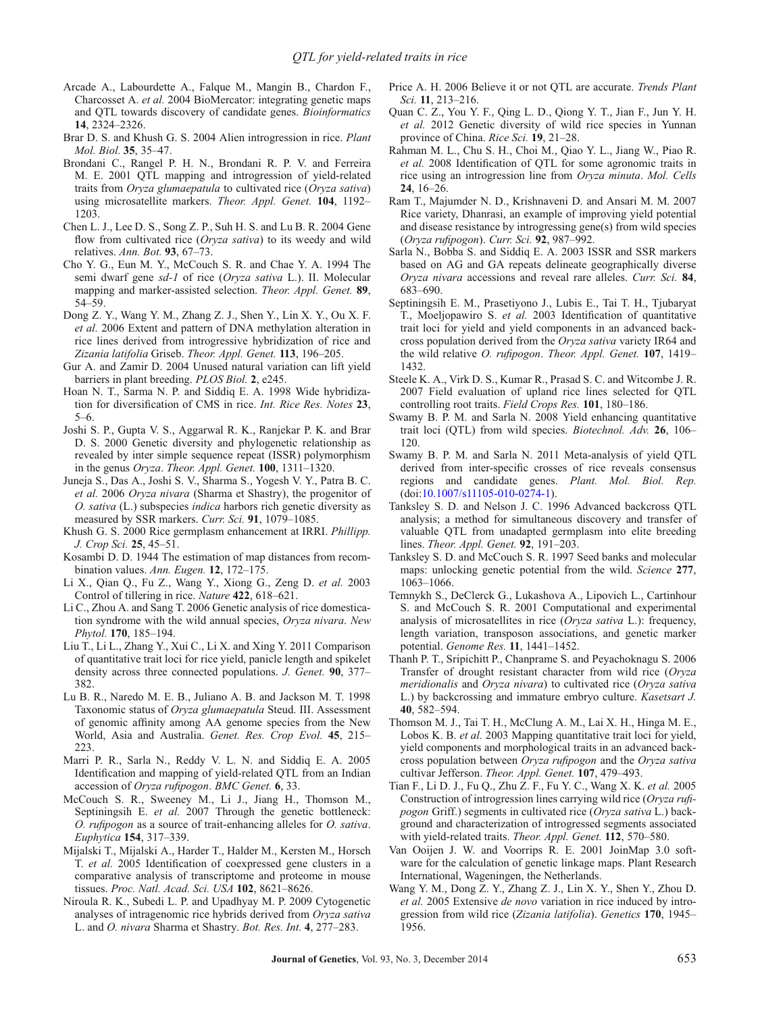- <span id="page-10-20"></span>Arcade A., Labourdette A., Falque M., Mangin B., Chardon F., Charcosset A. *et al.* 2004 BioMercator: integrating genetic maps and QTL towards discovery of candidate genes. *Bioinformatics* **14**, 2324–2326.
- <span id="page-10-13"></span>Brar D. S. and Khush G. S. 2004 Alien introgression in rice. *Plant Mol. Biol.* **35**, 35–47.
- <span id="page-10-31"></span>Brondani C., Rangel P. H. N., Brondani R. P. V. and Ferreira M. E. 2001 QTL mapping and introgression of yield-related traits from *Oryza glumaepatula* to cultivated rice (*Oryza sativa*) using microsatellite markers. *Theor. Appl. Genet.* **104**, 1192– 1203.
- <span id="page-10-16"></span>Chen L. J., Lee D. S., Song Z. P., Suh H. S. and Lu B. R. 2004 Gene flow from cultivated rice (*Oryza sativa*) to its weedy and wild relatives. *Ann. Bot.* **93**, 67–73.
- <span id="page-10-32"></span>Cho Y. G., Eun M. Y., McCouch S. R. and Chae Y. A. 1994 The semi dwarf gene *sd-1* of rice (*Oryza sativa* L.). II. Molecular mapping and marker-assisted selection. *Theor. Appl. Genet.* **89**, 54–59.
- <span id="page-10-2"></span>Dong Z. Y., Wang Y. M., Zhang Z. J., Shen Y., Lin X. Y., Ou X. F. *et al.* 2006 Extent and pattern of DNA methylation alteration in rice lines derived from introgressive hybridization of rice and *Zizania latifolia* Griseb. *Theor. Appl. Genet.* **113**, 196–205.
- <span id="page-10-4"></span>Gur A. and Zamir D. 2004 Unused natural variation can lift yield barriers in plant breeding. *PLOS Biol.* **2**, e245.
- <span id="page-10-15"></span>Hoan N. T., Sarma N. P. and Siddiq E. A. 1998 Wide hybridization for diversification of CMS in rice. *Int. Rice Res. Notes* **23**, 5–6.
- <span id="page-10-9"></span>Joshi S. P., Gupta V. S., Aggarwal R. K., Ranjekar P. K. and Brar D. S. 2000 Genetic diversity and phylogenetic relationship as revealed by inter simple sequence repeat (ISSR) polymorphism in the genus *Oryza*. *Theor. Appl. Genet.* **100**, 1311–1320.
- <span id="page-10-11"></span>Juneja S., Das A., Joshi S. V., Sharma S., Yogesh V. Y., Patra B. C. *et al.* 2006 *Oryza nivara* (Sharma et Shastry), the progenitor of *O. sativa* (L.) subspecies *indica* harbors rich genetic diversity as measured by SSR markers. *Curr. Sci.* **91**, 1079–1085.
- <span id="page-10-12"></span>Khush G. S. 2000 Rice germplasm enhancement at IRRI. *Phillipp. J. Crop Sci.* **25**, 45–51.
- <span id="page-10-21"></span>Kosambi D. D. 1944 The estimation of map distances from recombination values. *Ann. Eugen.* **12**, 172–175.
- <span id="page-10-33"></span>Li X., Qian Q., Fu Z., Wang Y., Xiong G., Zeng D. *et al.* 2003 Control of tillering in rice. *Nature* **422**, 618–621.
- <span id="page-10-29"></span>Li C., Zhou A. and Sang T. 2006 Genetic analysis of rice domestication syndrome with the wild annual species, *Oryza nivara*. *New Phytol.* **170**, 185–194.
- <span id="page-10-28"></span>Liu T., Li L., Zhang Y., Xui C., Li X. and Xing Y. 2011 Comparison of quantitative trait loci for rice yield, panicle length and spikelet density across three connected populations. *J. Genet.* **90**, 377– 382.
- <span id="page-10-6"></span>Lu B. R., Naredo M. E. B., Juliano A. B. and Jackson M. T. 1998 Taxonomic status of *Oryza glumaepatula* Steud. III. Assessment of genomic affinity among AA genome species from the New World, Asia and Australia. *Genet. Res. Crop Evol.* **45**, 215– 223.
- <span id="page-10-26"></span>Marri P. R., Sarla N., Reddy V. L. N. and Siddiq E. A. 2005 Identification and mapping of yield-related QTL from an Indian accession of *Oryza rufipogon*. *BMC Genet.* **6**, 33.
- <span id="page-10-27"></span>McCouch S. R., Sweeney M., Li J., Jiang H., Thomson M., Septiningsih E. *et al.* 2007 Through the genetic bottleneck: *O. rufipogon* as a source of trait-enhancing alleles for *O. sativa*. *Euphytica* **154**, 317–339.
- <span id="page-10-36"></span>Mijalski T., Mijalski A., Harder T., Halder M., Kersten M., Horsch T. *et al.* 2005 Identification of coexpressed gene clusters in a comparative analysis of transcriptome and proteome in mouse tissues. *Proc. Natl. Acad. Sci. USA* **102**, 8621–8626.
- <span id="page-10-7"></span>Niroula R. K., Subedi L. P. and Upadhyay M. P. 2009 Cytogenetic analyses of intragenomic rice hybrids derived from *Oryza sativa* L. and *O. nivara* Sharma et Shastry. *Bot. Res. Int.* **4**, 277–283.
- <span id="page-10-34"></span>Price A. H. 2006 Believe it or not QTL are accurate. *Trends Plant Sci.* **11**, 213–216.
- <span id="page-10-1"></span>Quan C. Z., You Y. F., Qing L. D., Qiong Y. T., Jian F., Jun Y. H. *et al.* 2012 Genetic diversity of wild rice species in Yunnan province of China. *Rice Sci.* **19**, 21–28.
- <span id="page-10-24"></span>Rahman M. L., Chu S. H., Choi M., Qiao Y. L., Jiang W., Piao R. *et al.* 2008 Identification of QTL for some agronomic traits in rice using an introgression line from *Oryza minuta*. *Mol. Cells* **24**, 16–26.
- <span id="page-10-30"></span>Ram T., Majumder N. D., Krishnaveni D. and Ansari M. M. 2007 Rice variety, Dhanrasi, an example of improving yield potential and disease resistance by introgressing gene(s) from wild species (*Oryza rufipogon*). *Curr. Sci.* **92**, 987–992.
- <span id="page-10-10"></span>Sarla N., Bobba S. and Siddiq E. A. 2003 ISSR and SSR markers based on AG and GA repeats delineate geographically diverse *Oryza nivara* accessions and reveal rare alleles. *Curr. Sci.* **84**, 683–690.
- <span id="page-10-25"></span>Septiningsih E. M., Prasetiyono J., Lubis E., Tai T. H., Tjubaryat T., Moeljopawiro S. *et al.* 2003 Identification of quantitative trait loci for yield and yield components in an advanced backcross population derived from the *Oryza sativa* variety IR64 and the wild relative *O. rufipogon*. *Theor. Appl. Genet.* **107**, 1419– 1432.
- <span id="page-10-35"></span>Steele K. A., Virk D. S., Kumar R., Prasad S. C. and Witcombe J. R. 2007 Field evaluation of upland rice lines selected for QTL controlling root traits. *Field Crops Res.* **101**, 180–186.
- <span id="page-10-5"></span>Swamy B. P. M. and Sarla N. 2008 Yield enhancing quantitative trait loci (QTL) from wild species. *Biotechnol. Adv.* **26**, 106– 120.
- <span id="page-10-8"></span>Swamy B. P. M. and Sarla N. 2011 Meta-analysis of yield QTL derived from inter-specific crosses of rice reveals consensus regions and candidate genes. *Plant. Mol. Biol. Rep.* (doi[:10.1007/s11105-010-0274-1\)](http://dx.doi.org/10.1007/s11105-010-0274-1).
- <span id="page-10-0"></span>Tanksley S. D. and Nelson J. C. 1996 Advanced backcross QTL analysis; a method for simultaneous discovery and transfer of valuable QTL from unadapted germplasm into elite breeding lines. *Theor. Appl. Genet.* **92**, 191–203.
- <span id="page-10-3"></span>Tanksley S. D. and McCouch S. R. 1997 Seed banks and molecular maps: unlocking genetic potential from the wild. *Science* **277**, 1063–1066.
- <span id="page-10-19"></span>Temnykh S., DeClerck G., Lukashova A., Lipovich L., Cartinhour S. and McCouch S. R. 2001 Computational and experimental analysis of microsatellites in rice (*Oryza sativa* L.): frequency, length variation, transposon associations, and genetic marker potential. *Genome Res.* **11**, 1441–1452.
- <span id="page-10-14"></span>Thanh P. T., Sripichitt P., Chanprame S. and Peyachoknagu S. 2006 Transfer of drought resistant character from wild rice (*Oryza meridionalis* and *Oryza nivara*) to cultivated rice (*Oryza sativa* L.) by backcrossing and immature embryo culture. *Kasetsart J.* **40**, 582–594.
- <span id="page-10-17"></span>Thomson M. J., Tai T. H., McClung A. M., Lai X. H., Hinga M. E., Lobos K. B. *et al.* 2003 Mapping quantitative trait loci for yield, yield components and morphological traits in an advanced backcross population between *Oryza rufipogon* and the *Oryza sativa* cultivar Jefferson. *Theor. Appl. Genet.* **107**, 479–493.
- <span id="page-10-23"></span>Tian F., Li D. J., Fu Q., Zhu Z. F., Fu Y. C., Wang X. K. *et al.* 2005 Construction of introgression lines carrying wild rice (*Oryza rufipogon* Griff.) segments in cultivated rice (*Oryza sativa* L.) background and characterization of introgressed segments associated with yield-related traits. *Theor. Appl. Genet.* **112**, 570–580.
- <span id="page-10-18"></span>Van Ooijen J. W. and Voorrips R. E. 2001 JoinMap 3.0 software for the calculation of genetic linkage maps. Plant Research International, Wageningen, the Netherlands.
- <span id="page-10-22"></span>Wang Y. M., Dong Z. Y., Zhang Z. J., Lin X. Y., Shen Y., Zhou D. *et al.* 2005 Extensive *de novo* variation in rice induced by introgression from wild rice (*Zizania latifolia*). *Genetics* **170**, 1945– 1956.